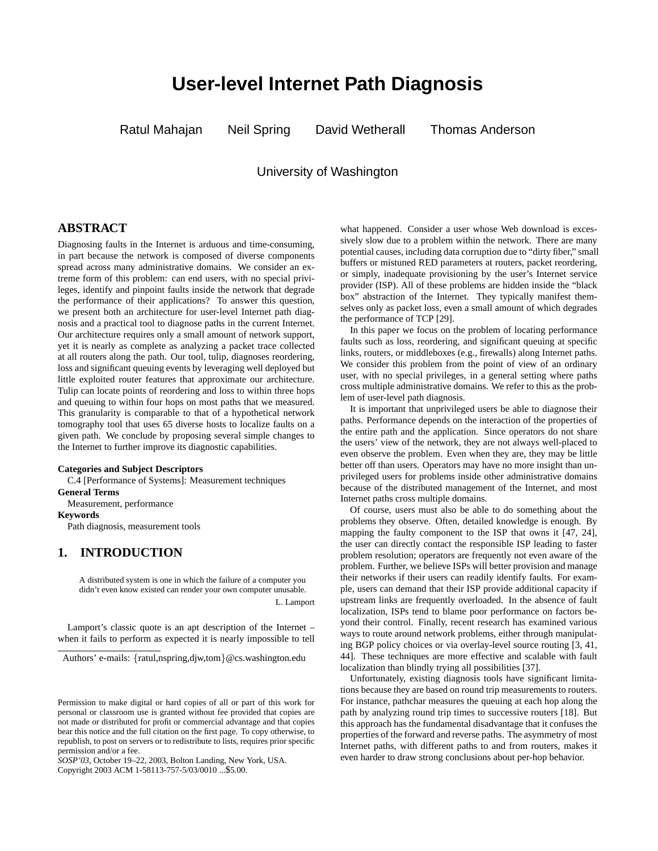# **User-level Internet Path Diagnosis**

Ratul Mahajan Neil Spring David Wetherall Thomas Anderson

University of Washington

# **ABSTRACT**

Diagnosing faults in the Internet is arduous and time-consuming, in part because the network is composed of diverse components spread across many administrative domains. We consider an extreme form of this problem: can end users, with no special privileges, identify and pinpoint faults inside the network that degrade the performance of their applications? To answer this question, we present both an architecture for user-level Internet path diagnosis and a practical tool to diagnose paths in the current Internet. Our architecture requires only a small amount of network support, yet it is nearly as complete as analyzing a packet trace collected at all routers along the path. Our tool, tulip, diagnoses reordering, loss and significant queuing events by leveraging well deployed but little exploited router features that approximate our architecture. Tulip can locate points of reordering and loss to within three hops and queuing to within four hops on most paths that we measured. This granularity is comparable to that of a hypothetical network tomography tool that uses 65 diverse hosts to localize faults on a given path. We conclude by proposing several simple changes to the Internet to further improve its diagnostic capabilities.

#### **Categories and Subject Descriptors**

C.4 [Performance of Systems]: Measurement techniques

**General Terms**

Measurement, performance

#### **Keywords**

Path diagnosis, measurement tools

# **1. INTRODUCTION**

A distributed system is one in which the failure of a computer you didn't even know existed can render your own computer unusable. L. Lamport

Lamport's classic quote is an apt description of the Internet – when it fails to perform as expected it is nearly impossible to tell

*SOSP'03,* October 19–22, 2003, Bolton Landing, New York, USA.

Copyright 2003 ACM 1-58113-757-5/03/0010 ...\$5.00.

what happened. Consider a user whose Web download is excessively slow due to a problem within the network. There are many potential causes, including data corruption due to "dirty fiber," small buffers or mistuned RED parameters at routers, packet reordering, or simply, inadequate provisioning by the user's Internet service provider (ISP). All of these problems are hidden inside the "black box" abstraction of the Internet. They typically manifest themselves only as packet loss, even a small amount of which degrades the performance of TCP [29].

In this paper we focus on the problem of locating performance faults such as loss, reordering, and significant queuing at specific links, routers, or middleboxes (e.g., firewalls) along Internet paths. We consider this problem from the point of view of an ordinary user, with no special privileges, in a general setting where paths cross multiple administrative domains. We refer to this as the problem of user-level path diagnosis.

It is important that unprivileged users be able to diagnose their paths. Performance depends on the interaction of the properties of the entire path and the application. Since operators do not share the users' view of the network, they are not always well-placed to even observe the problem. Even when they are, they may be little better off than users. Operators may have no more insight than unprivileged users for problems inside other administrative domains because of the distributed management of the Internet, and most Internet paths cross multiple domains.

Of course, users must also be able to do something about the problems they observe. Often, detailed knowledge is enough. By mapping the faulty component to the ISP that owns it [47, 24], the user can directly contact the responsible ISP leading to faster problem resolution; operators are frequently not even aware of the problem. Further, we believe ISPs will better provision and manage their networks if their users can readily identify faults. For example, users can demand that their ISP provide additional capacity if upstream links are frequently overloaded. In the absence of fault localization, ISPs tend to blame poor performance on factors beyond their control. Finally, recent research has examined various ways to route around network problems, either through manipulating BGP policy choices or via overlay-level source routing [3, 41, 44]. These techniques are more effective and scalable with fault localization than blindly trying all possibilities [37].

Unfortunately, existing diagnosis tools have significant limitations because they are based on round trip measurements to routers. For instance, pathchar measures the queuing at each hop along the path by analyzing round trip times to successive routers [18]. But this approach has the fundamental disadvantage that it confuses the properties of the forward and reverse paths. The asymmetry of most Internet paths, with different paths to and from routers, makes it even harder to draw strong conclusions about per-hop behavior.

Authors' e-mails: {ratul,nspring,djw,tom}@cs.washington.edu

Permission to make digital or hard copies of all or part of this work for personal or classroom use is granted without fee provided that copies are not made or distributed for profit or commercial advantage and that copies bear this notice and the full citation on the first page. To copy otherwise, to republish, to post on servers or to redistribute to lists, requires prior specific permission and/or a fee.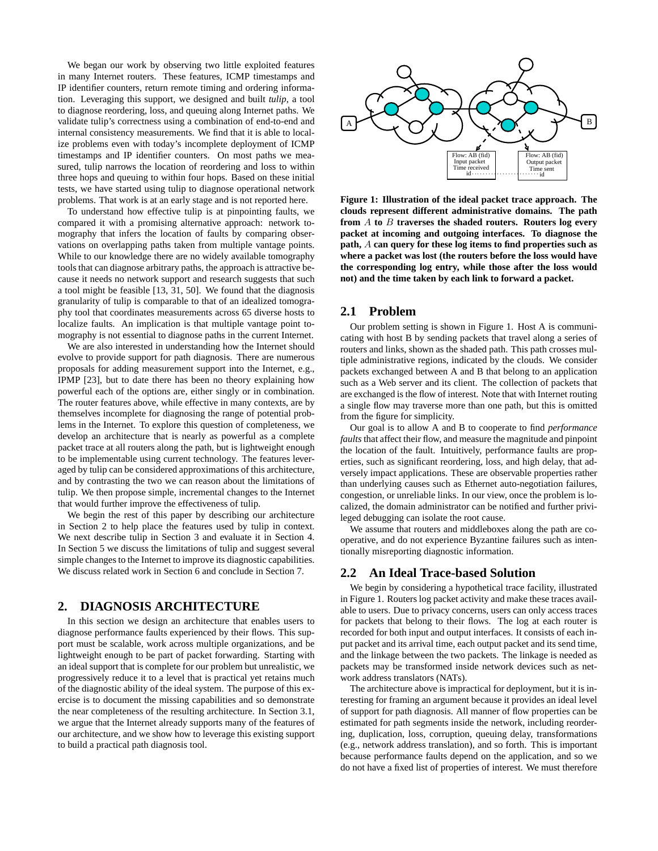We began our work by observing two little exploited features in many Internet routers. These features, ICMP timestamps and IP identifier counters, return remote timing and ordering information. Leveraging this support, we designed and built *tulip*, a tool to diagnose reordering, loss, and queuing along Internet paths. We validate tulip's correctness using a combination of end-to-end and internal consistency measurements. We find that it is able to localize problems even with today's incomplete deployment of ICMP timestamps and IP identifier counters. On most paths we measured, tulip narrows the location of reordering and loss to within three hops and queuing to within four hops. Based on these initial tests, we have started using tulip to diagnose operational network problems. That work is at an early stage and is not reported here.

To understand how effective tulip is at pinpointing faults, we compared it with a promising alternative approach: network tomography that infers the location of faults by comparing observations on overlapping paths taken from multiple vantage points. While to our knowledge there are no widely available tomography tools that can diagnose arbitrary paths, the approach is attractive because it needs no network support and research suggests that such a tool might be feasible [13, 31, 50]. We found that the diagnosis granularity of tulip is comparable to that of an idealized tomography tool that coordinates measurements across 65 diverse hosts to localize faults. An implication is that multiple vantage point tomography is not essential to diagnose paths in the current Internet.

We are also interested in understanding how the Internet should evolve to provide support for path diagnosis. There are numerous proposals for adding measurement support into the Internet, e.g., IPMP [23], but to date there has been no theory explaining how powerful each of the options are, either singly or in combination. The router features above, while effective in many contexts, are by themselves incomplete for diagnosing the range of potential problems in the Internet. To explore this question of completeness, we develop an architecture that is nearly as powerful as a complete packet trace at all routers along the path, but is lightweight enough to be implementable using current technology. The features leveraged by tulip can be considered approximations of this architecture, and by contrasting the two we can reason about the limitations of tulip. We then propose simple, incremental changes to the Internet that would further improve the effectiveness of tulip.

We begin the rest of this paper by describing our architecture in Section 2 to help place the features used by tulip in context. We next describe tulip in Section 3 and evaluate it in Section 4. In Section 5 we discuss the limitations of tulip and suggest several simple changes to the Internet to improve its diagnostic capabilities. We discuss related work in Section 6 and conclude in Section 7.

#### **2. DIAGNOSIS ARCHITECTURE**

In this section we design an architecture that enables users to diagnose performance faults experienced by their flows. This support must be scalable, work across multiple organizations, and be lightweight enough to be part of packet forwarding. Starting with an ideal support that is complete for our problem but unrealistic, we progressively reduce it to a level that is practical yet retains much of the diagnostic ability of the ideal system. The purpose of this exercise is to document the missing capabilities and so demonstrate the near completeness of the resulting architecture. In Section 3.1, we argue that the Internet already supports many of the features of our architecture, and we show how to leverage this existing support to build a practical path diagnosis tool.



**Figure 1: Illustration of the ideal packet trace approach. The clouds represent different administrative domains. The path from** A **to** B **traverses the shaded routers. Routers log every packet at incoming and outgoing interfaces. To diagnose the path,** A **can query for these log items to find properties such as where a packet was lost (the routers before the loss would have the corresponding log entry, while those after the loss would not) and the time taken by each link to forward a packet.**

#### **2.1 Problem**

Our problem setting is shown in Figure 1. Host A is communicating with host B by sending packets that travel along a series of routers and links, shown as the shaded path. This path crosses multiple administrative regions, indicated by the clouds. We consider packets exchanged between A and B that belong to an application such as a Web server and its client. The collection of packets that are exchanged is the flow of interest. Note that with Internet routing a single flow may traverse more than one path, but this is omitted from the figure for simplicity.

Our goal is to allow A and B to cooperate to find *performance faults* that affect their flow, and measure the magnitude and pinpoint the location of the fault. Intuitively, performance faults are properties, such as significant reordering, loss, and high delay, that adversely impact applications. These are observable properties rather than underlying causes such as Ethernet auto-negotiation failures, congestion, or unreliable links. In our view, once the problem is localized, the domain administrator can be notified and further privileged debugging can isolate the root cause.

We assume that routers and middleboxes along the path are cooperative, and do not experience Byzantine failures such as intentionally misreporting diagnostic information.

## **2.2 An Ideal Trace-based Solution**

We begin by considering a hypothetical trace facility, illustrated in Figure 1. Routers log packet activity and make these traces available to users. Due to privacy concerns, users can only access traces for packets that belong to their flows. The log at each router is recorded for both input and output interfaces. It consists of each input packet and its arrival time, each output packet and its send time, and the linkage between the two packets. The linkage is needed as packets may be transformed inside network devices such as network address translators (NATs).

The architecture above is impractical for deployment, but it is interesting for framing an argument because it provides an ideal level of support for path diagnosis. All manner of flow properties can be estimated for path segments inside the network, including reordering, duplication, loss, corruption, queuing delay, transformations (e.g., network address translation), and so forth. This is important because performance faults depend on the application, and so we do not have a fixed list of properties of interest. We must therefore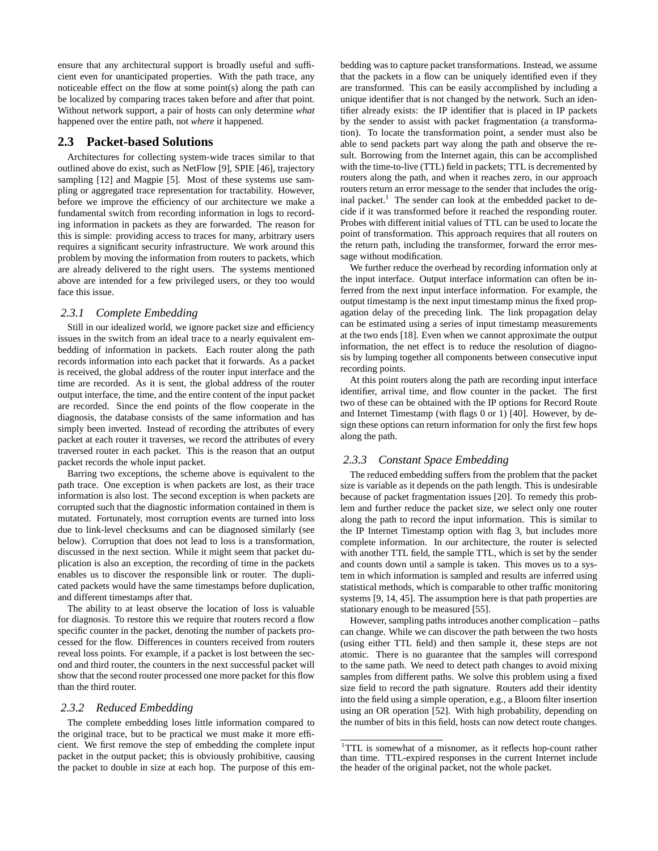ensure that any architectural support is broadly useful and sufficient even for unanticipated properties. With the path trace, any noticeable effect on the flow at some point(s) along the path can be localized by comparing traces taken before and after that point. Without network support, a pair of hosts can only determine *what* happened over the entire path, not *where* it happened.

## **2.3 Packet-based Solutions**

Architectures for collecting system-wide traces similar to that outlined above do exist, such as NetFlow [9], SPIE [46], trajectory sampling [12] and Magpie [5]. Most of these systems use sampling or aggregated trace representation for tractability. However, before we improve the efficiency of our architecture we make a fundamental switch from recording information in logs to recording information in packets as they are forwarded. The reason for this is simple: providing access to traces for many, arbitrary users requires a significant security infrastructure. We work around this problem by moving the information from routers to packets, which are already delivered to the right users. The systems mentioned above are intended for a few privileged users, or they too would face this issue.

#### *2.3.1 Complete Embedding*

Still in our idealized world, we ignore packet size and efficiency issues in the switch from an ideal trace to a nearly equivalent embedding of information in packets. Each router along the path records information into each packet that it forwards. As a packet is received, the global address of the router input interface and the time are recorded. As it is sent, the global address of the router output interface, the time, and the entire content of the input packet are recorded. Since the end points of the flow cooperate in the diagnosis, the database consists of the same information and has simply been inverted. Instead of recording the attributes of every packet at each router it traverses, we record the attributes of every traversed router in each packet. This is the reason that an output packet records the whole input packet.

Barring two exceptions, the scheme above is equivalent to the path trace. One exception is when packets are lost, as their trace information is also lost. The second exception is when packets are corrupted such that the diagnostic information contained in them is mutated. Fortunately, most corruption events are turned into loss due to link-level checksums and can be diagnosed similarly (see below). Corruption that does not lead to loss is a transformation, discussed in the next section. While it might seem that packet duplication is also an exception, the recording of time in the packets enables us to discover the responsible link or router. The duplicated packets would have the same timestamps before duplication, and different timestamps after that.

The ability to at least observe the location of loss is valuable for diagnosis. To restore this we require that routers record a flow specific counter in the packet, denoting the number of packets processed for the flow. Differences in counters received from routers reveal loss points. For example, if a packet is lost between the second and third router, the counters in the next successful packet will show that the second router processed one more packet for this flow than the third router.

#### *2.3.2 Reduced Embedding*

The complete embedding loses little information compared to the original trace, but to be practical we must make it more efficient. We first remove the step of embedding the complete input packet in the output packet; this is obviously prohibitive, causing the packet to double in size at each hop. The purpose of this embedding was to capture packet transformations. Instead, we assume that the packets in a flow can be uniquely identified even if they are transformed. This can be easily accomplished by including a unique identifier that is not changed by the network. Such an identifier already exists: the IP identifier that is placed in IP packets by the sender to assist with packet fragmentation (a transformation). To locate the transformation point, a sender must also be able to send packets part way along the path and observe the result. Borrowing from the Internet again, this can be accomplished with the time-to-live (TTL) field in packets; TTL is decremented by routers along the path, and when it reaches zero, in our approach routers return an error message to the sender that includes the original packet.<sup>1</sup> The sender can look at the embedded packet to decide if it was transformed before it reached the responding router. Probes with different initial values of TTL can be used to locate the point of transformation. This approach requires that all routers on the return path, including the transformer, forward the error message without modification.

We further reduce the overhead by recording information only at the input interface. Output interface information can often be inferred from the next input interface information. For example, the output timestamp is the next input timestamp minus the fixed propagation delay of the preceding link. The link propagation delay can be estimated using a series of input timestamp measurements at the two ends [18]. Even when we cannot approximate the output information, the net effect is to reduce the resolution of diagnosis by lumping together all components between consecutive input recording points.

At this point routers along the path are recording input interface identifier, arrival time, and flow counter in the packet. The first two of these can be obtained with the IP options for Record Route and Internet Timestamp (with flags 0 or 1) [40]. However, by design these options can return information for only the first few hops along the path.

## *2.3.3 Constant Space Embedding*

The reduced embedding suffers from the problem that the packet size is variable as it depends on the path length. This is undesirable because of packet fragmentation issues [20]. To remedy this problem and further reduce the packet size, we select only one router along the path to record the input information. This is similar to the IP Internet Timestamp option with flag 3, but includes more complete information. In our architecture, the router is selected with another TTL field, the sample TTL, which is set by the sender and counts down until a sample is taken. This moves us to a system in which information is sampled and results are inferred using statistical methods, which is comparable to other traffic monitoring systems [9, 14, 45]. The assumption here is that path properties are stationary enough to be measured [55].

However, sampling paths introduces another complication – paths can change. While we can discover the path between the two hosts (using either TTL field) and then sample it, these steps are not atomic. There is no guarantee that the samples will correspond to the same path. We need to detect path changes to avoid mixing samples from different paths. We solve this problem using a fixed size field to record the path signature. Routers add their identity into the field using a simple operation, e.g., a Bloom filter insertion using an OR operation [52]. With high probability, depending on the number of bits in this field, hosts can now detect route changes.

<sup>&</sup>lt;sup>1</sup>TTL is somewhat of a misnomer, as it reflects hop-count rather than time. TTL-expired responses in the current Internet include the header of the original packet, not the whole packet.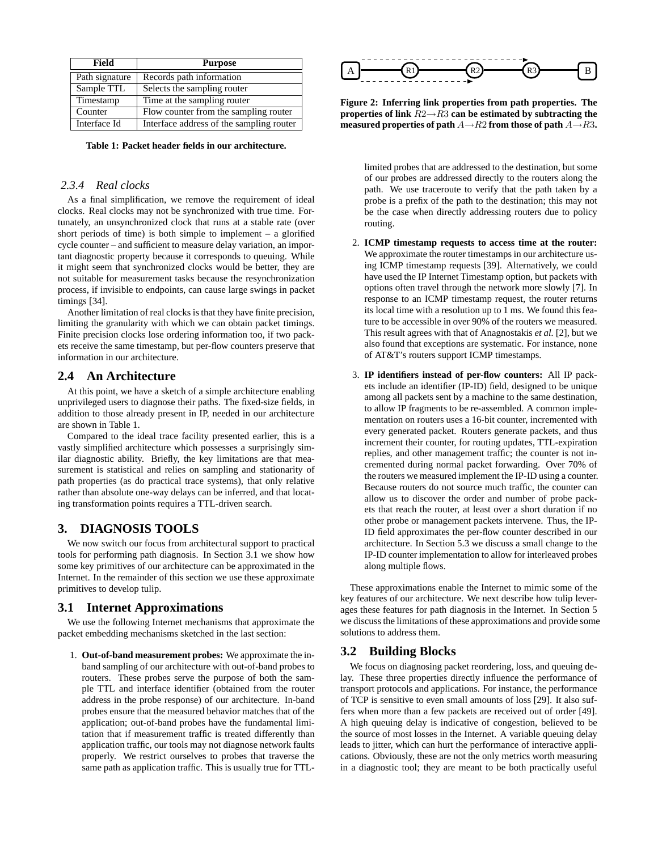| Field          | <b>Purpose</b>                           |
|----------------|------------------------------------------|
| Path signature | Records path information                 |
| Sample TTL     | Selects the sampling router              |
| Timestamp      | Time at the sampling router              |
| Counter        | Flow counter from the sampling router    |
| Interface Id   | Interface address of the sampling router |

**Table 1: Packet header fields in our architecture.**

#### *2.3.4 Real clocks*

As a final simplification, we remove the requirement of ideal clocks. Real clocks may not be synchronized with true time. Fortunately, an unsynchronized clock that runs at a stable rate (over short periods of time) is both simple to implement  $-$  a glorified cycle counter – and sufficient to measure delay variation, an important diagnostic property because it corresponds to queuing. While it might seem that synchronized clocks would be better, they are not suitable for measurement tasks because the resynchronization process, if invisible to endpoints, can cause large swings in packet timings [34].

Another limitation of real clocks is that they have finite precision, limiting the granularity with which we can obtain packet timings. Finite precision clocks lose ordering information too, if two packets receive the same timestamp, but per-flow counters preserve that information in our architecture.

#### **2.4 An Architecture**

At this point, we have a sketch of a simple architecture enabling unprivileged users to diagnose their paths. The fixed-size fields, in addition to those already present in IP, needed in our architecture are shown in Table 1.

Compared to the ideal trace facility presented earlier, this is a vastly simplified architecture which possesses a surprisingly similar diagnostic ability. Briefly, the key limitations are that measurement is statistical and relies on sampling and stationarity of path properties (as do practical trace systems), that only relative rather than absolute one-way delays can be inferred, and that locating transformation points requires a TTL-driven search.

## **3. DIAGNOSIS TOOLS**

We now switch our focus from architectural support to practical tools for performing path diagnosis. In Section 3.1 we show how some key primitives of our architecture can be approximated in the Internet. In the remainder of this section we use these approximate primitives to develop tulip.

#### **3.1 Internet Approximations**

We use the following Internet mechanisms that approximate the packet embedding mechanisms sketched in the last section:

1. **Out-of-band measurement probes:** We approximate the inband sampling of our architecture with out-of-band probes to routers. These probes serve the purpose of both the sample TTL and interface identifier (obtained from the router address in the probe response) of our architecture. In-band probes ensure that the measured behavior matches that of the application; out-of-band probes have the fundamental limitation that if measurement traffic is treated differently than application traffic, our tools may not diagnose network faults properly. We restrict ourselves to probes that traverse the same path as application traffic. This is usually true for TTL-



**Figure 2: Inferring link properties from path properties. The properties of link** R2→R3 **can be estimated by subtracting the measured properties of path** A→R2 **from those of path** A→R3**.**

limited probes that are addressed to the destination, but some of our probes are addressed directly to the routers along the path. We use traceroute to verify that the path taken by a probe is a prefix of the path to the destination; this may not be the case when directly addressing routers due to policy routing.

- 2. **ICMP timestamp requests to access time at the router:** We approximate the router timestamps in our architecture using ICMP timestamp requests [39]. Alternatively, we could have used the IP Internet Timestamp option, but packets with options often travel through the network more slowly [7]. In response to an ICMP timestamp request, the router returns its local time with a resolution up to 1 ms. We found this feature to be accessible in over 90% of the routers we measured. This result agrees with that of Anagnostakis *et al.* [2], but we also found that exceptions are systematic. For instance, none of AT&T's routers support ICMP timestamps.
- 3. **IP identifiers instead of per-flow counters:** All IP packets include an identifier (IP-ID) field, designed to be unique among all packets sent by a machine to the same destination, to allow IP fragments to be re-assembled. A common implementation on routers uses a 16-bit counter, incremented with every generated packet. Routers generate packets, and thus increment their counter, for routing updates, TTL-expiration replies, and other management traffic; the counter is not incremented during normal packet forwarding. Over 70% of the routers we measured implement the IP-ID using a counter. Because routers do not source much traffic, the counter can allow us to discover the order and number of probe packets that reach the router, at least over a short duration if no other probe or management packets intervene. Thus, the IP-ID field approximates the per-flow counter described in our architecture. In Section 5.3 we discuss a small change to the IP-ID counter implementation to allow for interleaved probes along multiple flows.

These approximations enable the Internet to mimic some of the key features of our architecture. We next describe how tulip leverages these features for path diagnosis in the Internet. In Section 5 we discuss the limitations of these approximations and provide some solutions to address them.

#### **3.2 Building Blocks**

We focus on diagnosing packet reordering, loss, and queuing delay. These three properties directly influence the performance of transport protocols and applications. For instance, the performance of TCP is sensitive to even small amounts of loss [29]. It also suffers when more than a few packets are received out of order [49]. A high queuing delay is indicative of congestion, believed to be the source of most losses in the Internet. A variable queuing delay leads to jitter, which can hurt the performance of interactive applications. Obviously, these are not the only metrics worth measuring in a diagnostic tool; they are meant to be both practically useful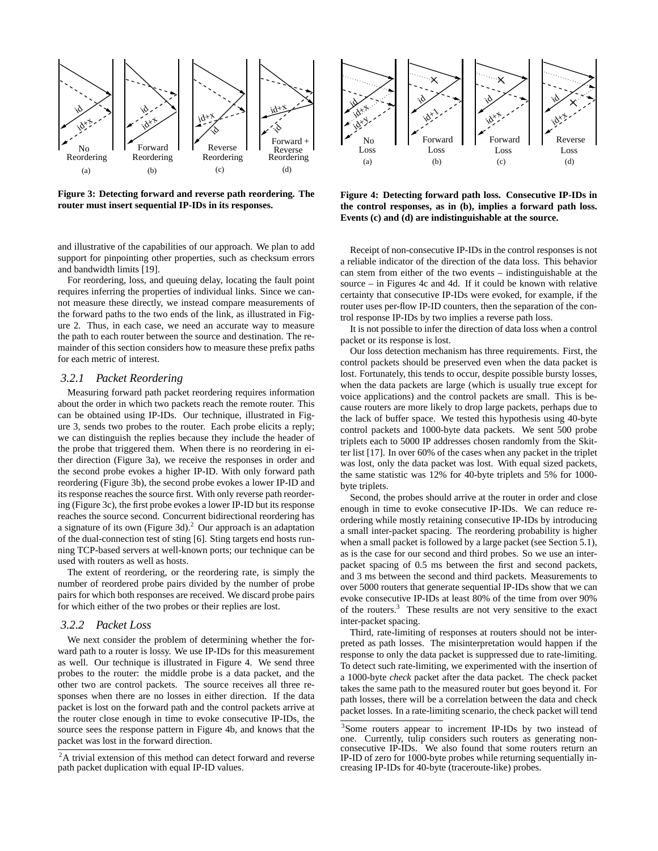

**Figure 3: Detecting forward and reverse path reordering. The router must insert sequential IP-IDs in its responses.**

and illustrative of the capabilities of our approach. We plan to add support for pinpointing other properties, such as checksum errors and bandwidth limits [19].

For reordering, loss, and queuing delay, locating the fault point requires inferring the properties of individual links. Since we cannot measure these directly, we instead compare measurements of the forward paths to the two ends of the link, as illustrated in Figure 2. Thus, in each case, we need an accurate way to measure the path to each router between the source and destination. The remainder of this section considers how to measure these prefix paths for each metric of interest.

#### *3.2.1 Packet Reordering*

Measuring forward path packet reordering requires information about the order in which two packets reach the remote router. This can be obtained using IP-IDs. Our technique, illustrated in Figure 3, sends two probes to the router. Each probe elicits a reply; we can distinguish the replies because they include the header of the probe that triggered them. When there is no reordering in either direction (Figure 3a), we receive the responses in order and the second probe evokes a higher IP-ID. With only forward path reordering (Figure 3b), the second probe evokes a lower IP-ID and its response reaches the source first. With only reverse path reordering (Figure 3c), the first probe evokes a lower IP-ID but its response reaches the source second. Concurrent bidirectional reordering has a signature of its own (Figure 3d).<sup>2</sup> Our approach is an adaptation of the dual-connection test of sting [6]. Sting targets end hosts running TCP-based servers at well-known ports; our technique can be used with routers as well as hosts. F  $\frac{1}{2}$  How and the mean of the strength of the strength of the strength of the strength of the strength of the strength of the strength of the strength of the strength of the strength of the strength of the strength

The extent of reordering, or the reordering rate, is simply the number of reordered probe pairs divided by the number of probe pairs for which both responses are received. We discard probe pairs for which either of the two probes or their replies are lost.

#### *3.2.2 Packet Loss*

We next consider the problem of determining whether the forward path to a router is lossy. We use IP-IDs for this measurement as well. Our technique is illustrated in Figure 4. We send three probes to the router: the middle probe is a data packet, and the other two are control packets. The source receives all three responses when there are no losses in either direction. If the data packet is lost on the forward path and the control packets arrive at the router close enough in time to evoke consecutive IP-IDs, the source sees the response pattern in Figure 4b, and knows that the packet was lost in the forward direction.



**Figure 4: Detecting forward path loss. Consecutive IP-IDs in the control responses, as in (b), implies a forward path loss. Events (c) and (d) are indistinguishable at the source.**

Receipt of non-consecutive IP-IDs in the control responses is not a reliable indicator of the direction of the data loss. This behavior can stem from either of the two events – indistinguishable at the source – in Figures 4c and 4d. If it could be known with relative certainty that consecutive IP-IDs were evoked, for example, if the router uses per-flow IP-ID counters, then the separation of the control response IP-IDs by two implies a reverse path loss.

It is not possible to infer the direction of data loss when a control packet or its response is lost.

Our loss detection mechanism has three requirements. First, the control packets should be preserved even when the data packet is lost. Fortunately, this tends to occur, despite possible bursty losses, when the data packets are large (which is usually true except for voice applications) and the control packets are small. This is because routers are more likely to drop large packets, perhaps due to the lack of buffer space. We tested this hypothesis using 40-byte control packets and 1000-byte data packets. We sent 500 probe triplets each to 5000 IP addresses chosen randomly from the Skitter list [17]. In over 60% of the cases when any packet in the triplet was lost, only the data packet was lost. With equal sized packets, the same statistic was 12% for 40-byte triplets and 5% for 1000 byte triplets.

Second, the probes should arrive at the router in order and close enough in time to evoke consecutive IP-IDs. We can reduce reordering while mostly retaining consecutive IP-IDs by introducing a small inter-packet spacing. The reordering probability is higher when a small packet is followed by a large packet (see Section 5.1), as is the case for our second and third probes. So we use an interpacket spacing of 0.5 ms between the first and second packets, and 3 ms between the second and third packets. Measurements to over 5000 routers that generate sequential IP-IDs show that we can evoke consecutive IP-IDs at least 80% of the time from over 90% of the routers.<sup>3</sup> These results are not very sensitive to the exact inter-packet spacing.

Third, rate-limiting of responses at routers should not be interpreted as path losses. The misinterpretation would happen if the response to only the data packet is suppressed due to rate-limiting. To detect such rate-limiting, we experimented with the insertion of a 1000-byte *check* packet after the data packet. The check packet takes the same path to the measured router but goes beyond it. For path losses, there will be a correlation between the data and check packet losses. In a rate-limiting scenario, the check packet will tend

 ${}^{2}$ A trivial extension of this method can detect forward and reverse path packet duplication with equal IP-ID values.

<sup>&</sup>lt;sup>3</sup>Some routers appear to increment IP-IDs by two instead of one. Currently, tulip considers such routers as generating non-<br>consecutive IP-IDs. We also found that some routers return an consecutive IP-IDs. We also found that some routers return an IP-ID of zero for 1000-byte probes while returning sequentially increasing IP-IDs for 40-byte (traceroute-like) probes.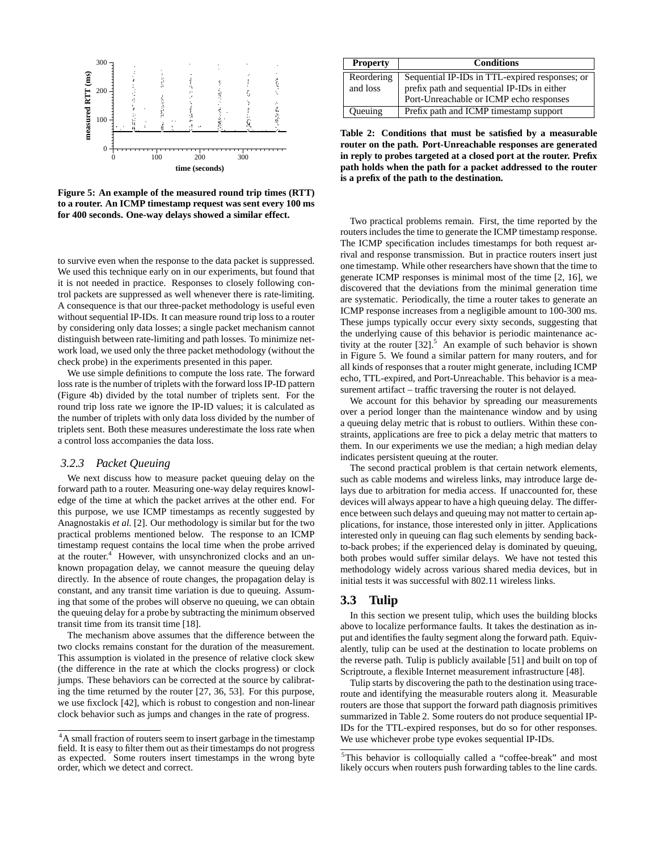

**Figure 5: An example of the measured round trip times (RTT) to a router. An ICMP timestamp request was sent every 100 ms for 400 seconds. One-way delays showed a similar effect.**

to survive even when the response to the data packet is suppressed. We used this technique early on in our experiments, but found that it is not needed in practice. Responses to closely following control packets are suppressed as well whenever there is rate-limiting. A consequence is that our three-packet methodology is useful even without sequential IP-IDs. It can measure round trip loss to a router by considering only data losses; a single packet mechanism cannot distinguish between rate-limiting and path losses. To minimize network load, we used only the three packet methodology (without the check probe) in the experiments presented in this paper.

We use simple definitions to compute the loss rate. The forward loss rate is the number of triplets with the forward loss IP-ID pattern (Figure 4b) divided by the total number of triplets sent. For the round trip loss rate we ignore the IP-ID values; it is calculated as the number of triplets with only data loss divided by the number of triplets sent. Both these measures underestimate the loss rate when a control loss accompanies the data loss.

#### *3.2.3 Packet Queuing*

We next discuss how to measure packet queuing delay on the forward path to a router. Measuring one-way delay requires knowledge of the time at which the packet arrives at the other end. For this purpose, we use ICMP timestamps as recently suggested by Anagnostakis *et al.* [2]. Our methodology is similar but for the two practical problems mentioned below. The response to an ICMP timestamp request contains the local time when the probe arrived at the router.<sup>4</sup> However, with unsynchronized clocks and an unknown propagation delay, we cannot measure the queuing delay directly. In the absence of route changes, the propagation delay is constant, and any transit time variation is due to queuing. Assuming that some of the probes will observe no queuing, we can obtain the queuing delay for a probe by subtracting the minimum observed transit time from its transit time [18].

The mechanism above assumes that the difference between the two clocks remains constant for the duration of the measurement. This assumption is violated in the presence of relative clock skew (the difference in the rate at which the clocks progress) or clock jumps. These behaviors can be corrected at the source by calibrating the time returned by the router [27, 36, 53]. For this purpose, we use fixclock [42], which is robust to congestion and non-linear clock behavior such as jumps and changes in the rate of progress.

| <b>Property</b> | <b>Conditions</b>                              |
|-----------------|------------------------------------------------|
| Reordering      | Sequential IP-IDs in TTL-expired responses; or |
| and loss        | prefix path and sequential IP-IDs in either    |
|                 | Port-Unreachable or ICMP echo responses        |
| Oueuing         | Prefix path and ICMP timestamp support         |

**Table 2: Conditions that must be satisfied by a measurable router on the path. Port-Unreachable responses are generated in reply to probes targeted at a closed port at the router. Prefix path holds when the path for a packet addressed to the router is a prefix of the path to the destination.**

Two practical problems remain. First, the time reported by the routers includes the time to generate the ICMP timestamp response. The ICMP specification includes timestamps for both request arrival and response transmission. But in practice routers insert just one timestamp. While other researchers have shown that the time to generate ICMP responses is minimal most of the time [2, 16], we discovered that the deviations from the minimal generation time are systematic. Periodically, the time a router takes to generate an ICMP response increases from a negligible amount to 100-300 ms. These jumps typically occur every sixty seconds, suggesting that the underlying cause of this behavior is periodic maintenance activity at the router  $[32]$ .<sup>5</sup> An example of such behavior is shown in Figure 5. We found a similar pattern for many routers, and for all kinds of responses that a router might generate, including ICMP echo, TTL-expired, and Port-Unreachable. This behavior is a measurement artifact – traffic traversing the router is not delayed.

We account for this behavior by spreading our measurements over a period longer than the maintenance window and by using a queuing delay metric that is robust to outliers. Within these constraints, applications are free to pick a delay metric that matters to them. In our experiments we use the median; a high median delay indicates persistent queuing at the router.

The second practical problem is that certain network elements, such as cable modems and wireless links, may introduce large delays due to arbitration for media access. If unaccounted for, these devices will always appear to have a high queuing delay. The difference between such delays and queuing may not matter to certain applications, for instance, those interested only in jitter. Applications interested only in queuing can flag such elements by sending backto-back probes; if the experienced delay is dominated by queuing, both probes would suffer similar delays. We have not tested this methodology widely across various shared media devices, but in initial tests it was successful with 802.11 wireless links.

#### **3.3 Tulip**

In this section we present tulip, which uses the building blocks above to localize performance faults. It takes the destination as input and identifies the faulty segment along the forward path. Equivalently, tulip can be used at the destination to locate problems on the reverse path. Tulip is publicly available [51] and built on top of Scriptroute, a flexible Internet measurement infrastructure [48].

Tulip starts by discovering the path to the destination using traceroute and identifying the measurable routers along it. Measurable routers are those that support the forward path diagnosis primitives summarized in Table 2. Some routers do not produce sequential IP-IDs for the TTL-expired responses, but do so for other responses. We use whichever probe type evokes sequential IP-IDs.

 ${\rm ^4A}$  small fraction of routers seem to insert garbage in the timestamp field. It is easy to filter them out as their timestamps do not progress as expected. Some routers insert timestamps in the wrong byte order, which we detect and correct.

<sup>&</sup>lt;sup>5</sup>This behavior is colloquially called a "coffee-break" and most likely occurs when routers push forwarding tables to the line cards.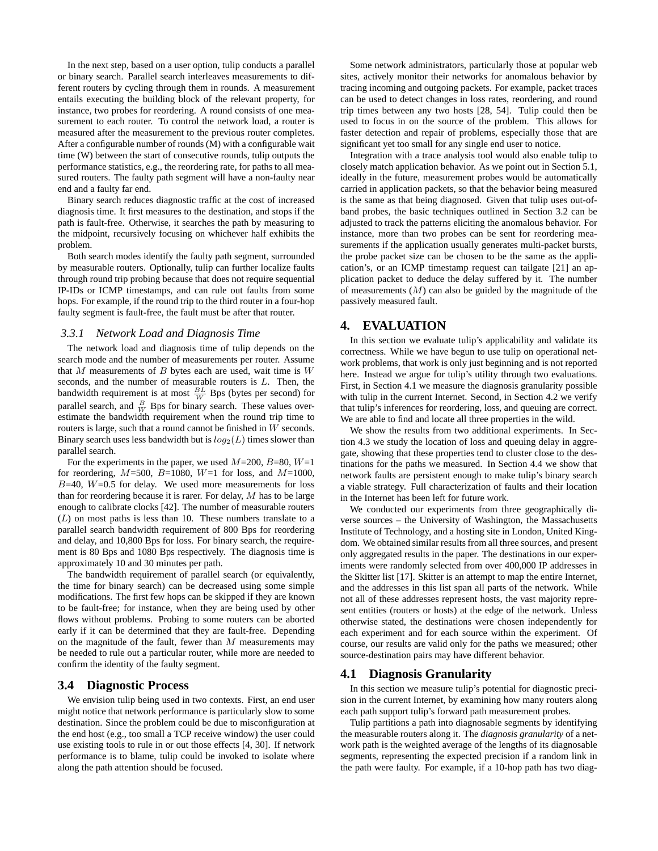In the next step, based on a user option, tulip conducts a parallel or binary search. Parallel search interleaves measurements to different routers by cycling through them in rounds. A measurement entails executing the building block of the relevant property, for instance, two probes for reordering. A round consists of one measurement to each router. To control the network load, a router is measured after the measurement to the previous router completes. After a configurable number of rounds (M) with a configurable wait time (W) between the start of consecutive rounds, tulip outputs the performance statistics, e.g., the reordering rate, for paths to all measured routers. The faulty path segment will have a non-faulty near end and a faulty far end.

Binary search reduces diagnostic traffic at the cost of increased diagnosis time. It first measures to the destination, and stops if the path is fault-free. Otherwise, it searches the path by measuring to the midpoint, recursively focusing on whichever half exhibits the problem.

Both search modes identify the faulty path segment, surrounded by measurable routers. Optionally, tulip can further localize faults through round trip probing because that does not require sequential IP-IDs or ICMP timestamps, and can rule out faults from some hops. For example, if the round trip to the third router in a four-hop faulty segment is fault-free, the fault must be after that router.

#### *3.3.1 Network Load and Diagnosis Time*

The network load and diagnosis time of tulip depends on the search mode and the number of measurements per router. Assume that  $M$  measurements of  $B$  bytes each are used, wait time is  $W$ seconds, and the number of measurable routers is L. Then, the bandwidth requirement is at most  $\frac{BL}{W}$  Bps (bytes per second) for parallel search, and  $\frac{B}{W}$  Bps for binary search. These values overestimate the bandwidth requirement when the round trip time to routers is large, such that a round cannot be finished in W seconds. Binary search uses less bandwidth but is  $log_2(L)$  times slower than parallel search.

For the experiments in the paper, we used  $M=200$ ,  $B=80$ ,  $W=1$ for reordering,  $M=500$ ,  $B=1080$ ,  $W=1$  for loss, and  $M=1000$ ,  $B=40$ ,  $W=0.5$  for delay. We used more measurements for loss than for reordering because it is rarer. For delay,  $M$  has to be large enough to calibrate clocks [42]. The number of measurable routers  $(L)$  on most paths is less than 10. These numbers translate to a parallel search bandwidth requirement of 800 Bps for reordering and delay, and 10,800 Bps for loss. For binary search, the requirement is 80 Bps and 1080 Bps respectively. The diagnosis time is approximately 10 and 30 minutes per path.

The bandwidth requirement of parallel search (or equivalently, the time for binary search) can be decreased using some simple modifications. The first few hops can be skipped if they are known to be fault-free; for instance, when they are being used by other flows without problems. Probing to some routers can be aborted early if it can be determined that they are fault-free. Depending on the magnitude of the fault, fewer than  $M$  measurements may be needed to rule out a particular router, while more are needed to confirm the identity of the faulty segment.

## **3.4 Diagnostic Process**

We envision tulip being used in two contexts. First, an end user might notice that network performance is particularly slow to some destination. Since the problem could be due to misconfiguration at the end host (e.g., too small a TCP receive window) the user could use existing tools to rule in or out those effects [4, 30]. If network performance is to blame, tulip could be invoked to isolate where along the path attention should be focused.

Some network administrators, particularly those at popular web sites, actively monitor their networks for anomalous behavior by tracing incoming and outgoing packets. For example, packet traces can be used to detect changes in loss rates, reordering, and round trip times between any two hosts [28, 54]. Tulip could then be used to focus in on the source of the problem. This allows for faster detection and repair of problems, especially those that are significant yet too small for any single end user to notice.

Integration with a trace analysis tool would also enable tulip to closely match application behavior. As we point out in Section 5.1, ideally in the future, measurement probes would be automatically carried in application packets, so that the behavior being measured is the same as that being diagnosed. Given that tulip uses out-ofband probes, the basic techniques outlined in Section 3.2 can be adjusted to track the patterns eliciting the anomalous behavior. For instance, more than two probes can be sent for reordering measurements if the application usually generates multi-packet bursts, the probe packet size can be chosen to be the same as the application's, or an ICMP timestamp request can tailgate [21] an application packet to deduce the delay suffered by it. The number of measurements  $(M)$  can also be guided by the magnitude of the passively measured fault.

## **4. EVALUATION**

In this section we evaluate tulip's applicability and validate its correctness. While we have begun to use tulip on operational network problems, that work is only just beginning and is not reported here. Instead we argue for tulip's utility through two evaluations. First, in Section 4.1 we measure the diagnosis granularity possible with tulip in the current Internet. Second, in Section 4.2 we verify that tulip's inferences for reordering, loss, and queuing are correct. We are able to find and locate all three properties in the wild.

We show the results from two additional experiments. In Section 4.3 we study the location of loss and queuing delay in aggregate, showing that these properties tend to cluster close to the destinations for the paths we measured. In Section 4.4 we show that network faults are persistent enough to make tulip's binary search a viable strategy. Full characterization of faults and their location in the Internet has been left for future work.

We conducted our experiments from three geographically diverse sources – the University of Washington, the Massachusetts Institute of Technology, and a hosting site in London, United Kingdom. We obtained similar results from all three sources, and present only aggregated results in the paper. The destinations in our experiments were randomly selected from over 400,000 IP addresses in the Skitter list [17]. Skitter is an attempt to map the entire Internet, and the addresses in this list span all parts of the network. While not all of these addresses represent hosts, the vast majority represent entities (routers or hosts) at the edge of the network. Unless otherwise stated, the destinations were chosen independently for each experiment and for each source within the experiment. Of course, our results are valid only for the paths we measured; other source-destination pairs may have different behavior.

#### **4.1 Diagnosis Granularity**

In this section we measure tulip's potential for diagnostic precision in the current Internet, by examining how many routers along each path support tulip's forward path measurement probes.

Tulip partitions a path into diagnosable segments by identifying the measurable routers along it. The *diagnosis granularity* of a network path is the weighted average of the lengths of its diagnosable segments, representing the expected precision if a random link in the path were faulty. For example, if a 10-hop path has two diag-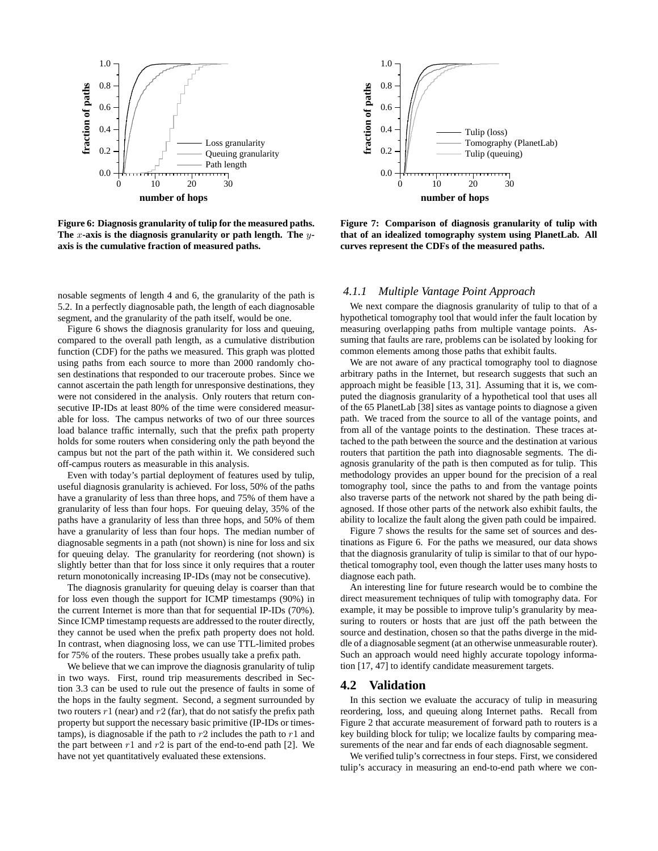

**Figure 6: Diagnosis granularity of tulip for the measured paths. The** x**-axis is the diagnosis granularity or path length. The** y**axis is the cumulative fraction of measured paths.**

nosable segments of length 4 and 6, the granularity of the path is 5.2. In a perfectly diagnosable path, the length of each diagnosable segment, and the granularity of the path itself, would be one.

Figure 6 shows the diagnosis granularity for loss and queuing, compared to the overall path length, as a cumulative distribution function (CDF) for the paths we measured. This graph was plotted using paths from each source to more than 2000 randomly chosen destinations that responded to our traceroute probes. Since we cannot ascertain the path length for unresponsive destinations, they were not considered in the analysis. Only routers that return consecutive IP-IDs at least 80% of the time were considered measurable for loss. The campus networks of two of our three sources load balance traffic internally, such that the prefix path property holds for some routers when considering only the path beyond the campus but not the part of the path within it. We considered such off-campus routers as measurable in this analysis.

Even with today's partial deployment of features used by tulip, useful diagnosis granularity is achieved. For loss, 50% of the paths have a granularity of less than three hops, and 75% of them have a granularity of less than four hops. For queuing delay, 35% of the paths have a granularity of less than three hops, and 50% of them have a granularity of less than four hops. The median number of diagnosable segments in a path (not shown) is nine for loss and six for queuing delay. The granularity for reordering (not shown) is slightly better than that for loss since it only requires that a router return monotonically increasing IP-IDs (may not be consecutive).

The diagnosis granularity for queuing delay is coarser than that for loss even though the support for ICMP timestamps (90%) in the current Internet is more than that for sequential IP-IDs (70%). Since ICMP timestamp requests are addressed to the router directly, they cannot be used when the prefix path property does not hold. In contrast, when diagnosing loss, we can use TTL-limited probes for 75% of the routers. These probes usually take a prefix path.

We believe that we can improve the diagnosis granularity of tulip in two ways. First, round trip measurements described in Section 3.3 can be used to rule out the presence of faults in some of the hops in the faulty segment. Second, a segment surrounded by two routers  $r1$  (near) and  $r2$  (far), that do not satisfy the prefix path property but support the necessary basic primitive (IP-IDs or timestamps), is diagnosable if the path to  $r2$  includes the path to  $r1$  and the part between  $r1$  and  $r2$  is part of the end-to-end path [2]. We have not yet quantitatively evaluated these extensions.



**Figure 7: Comparison of diagnosis granularity of tulip with that of an idealized tomography system using PlanetLab. All curves represent the CDFs of the measured paths.**

#### *4.1.1 Multiple Vantage Point Approach*

We next compare the diagnosis granularity of tulip to that of a hypothetical tomography tool that would infer the fault location by measuring overlapping paths from multiple vantage points. Assuming that faults are rare, problems can be isolated by looking for common elements among those paths that exhibit faults.

We are not aware of any practical tomography tool to diagnose arbitrary paths in the Internet, but research suggests that such an approach might be feasible [13, 31]. Assuming that it is, we computed the diagnosis granularity of a hypothetical tool that uses all of the 65 PlanetLab [38] sites as vantage points to diagnose a given path. We traced from the source to all of the vantage points, and from all of the vantage points to the destination. These traces attached to the path between the source and the destination at various routers that partition the path into diagnosable segments. The diagnosis granularity of the path is then computed as for tulip. This methodology provides an upper bound for the precision of a real tomography tool, since the paths to and from the vantage points also traverse parts of the network not shared by the path being diagnosed. If those other parts of the network also exhibit faults, the ability to localize the fault along the given path could be impaired.

Figure 7 shows the results for the same set of sources and destinations as Figure 6. For the paths we measured, our data shows that the diagnosis granularity of tulip is similar to that of our hypothetical tomography tool, even though the latter uses many hosts to diagnose each path.

An interesting line for future research would be to combine the direct measurement techniques of tulip with tomography data. For example, it may be possible to improve tulip's granularity by measuring to routers or hosts that are just off the path between the source and destination, chosen so that the paths diverge in the middle of a diagnosable segment (at an otherwise unmeasurable router). Such an approach would need highly accurate topology information [17, 47] to identify candidate measurement targets.

#### **4.2 Validation**

In this section we evaluate the accuracy of tulip in measuring reordering, loss, and queuing along Internet paths. Recall from Figure 2 that accurate measurement of forward path to routers is a key building block for tulip; we localize faults by comparing measurements of the near and far ends of each diagnosable segment.

We verified tulip's correctness in four steps. First, we considered tulip's accuracy in measuring an end-to-end path where we con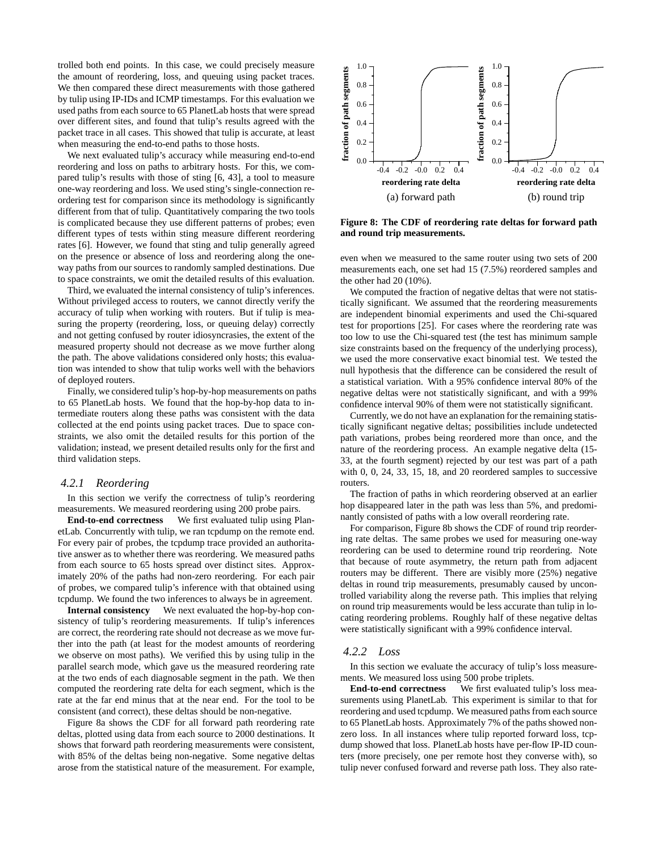trolled both end points. In this case, we could precisely measure the amount of reordering, loss, and queuing using packet traces. We then compared these direct measurements with those gathered by tulip using IP-IDs and ICMP timestamps. For this evaluation we used paths from each source to 65 PlanetLab hosts that were spread over different sites, and found that tulip's results agreed with the packet trace in all cases. This showed that tulip is accurate, at least when measuring the end-to-end paths to those hosts.

We next evaluated tulip's accuracy while measuring end-to-end reordering and loss on paths to arbitrary hosts. For this, we compared tulip's results with those of sting [6, 43], a tool to measure one-way reordering and loss. We used sting's single-connection reordering test for comparison since its methodology is significantly different from that of tulip. Quantitatively comparing the two tools is complicated because they use different patterns of probes; even different types of tests within sting measure different reordering rates [6]. However, we found that sting and tulip generally agreed on the presence or absence of loss and reordering along the oneway paths from our sources to randomly sampled destinations. Due to space constraints, we omit the detailed results of this evaluation.

Third, we evaluated the internal consistency of tulip's inferences. Without privileged access to routers, we cannot directly verify the accuracy of tulip when working with routers. But if tulip is measuring the property (reordering, loss, or queuing delay) correctly and not getting confused by router idiosyncrasies, the extent of the measured property should not decrease as we move further along the path. The above validations considered only hosts; this evaluation was intended to show that tulip works well with the behaviors of deployed routers.

Finally, we considered tulip's hop-by-hop measurements on paths to 65 PlanetLab hosts. We found that the hop-by-hop data to intermediate routers along these paths was consistent with the data collected at the end points using packet traces. Due to space constraints, we also omit the detailed results for this portion of the validation; instead, we present detailed results only for the first and third validation steps.

## *4.2.1 Reordering*

In this section we verify the correctness of tulip's reordering measurements. We measured reordering using 200 probe pairs.

**End-to-end correctness** We first evaluated tulip using PlanetLab. Concurrently with tulip, we ran tcpdump on the remote end. For every pair of probes, the tcpdump trace provided an authoritative answer as to whether there was reordering. We measured paths from each source to 65 hosts spread over distinct sites. Approximately 20% of the paths had non-zero reordering. For each pair of probes, we compared tulip's inference with that obtained using tcpdump. We found the two inferences to always be in agreement.

**Internal consistency** We next evaluated the hop-by-hop consistency of tulip's reordering measurements. If tulip's inferences are correct, the reordering rate should not decrease as we move further into the path (at least for the modest amounts of reordering we observe on most paths). We verified this by using tulip in the parallel search mode, which gave us the measured reordering rate at the two ends of each diagnosable segment in the path. We then computed the reordering rate delta for each segment, which is the rate at the far end minus that at the near end. For the tool to be consistent (and correct), these deltas should be non-negative.

Figure 8a shows the CDF for all forward path reordering rate deltas, plotted using data from each source to 2000 destinations. It shows that forward path reordering measurements were consistent, with 85% of the deltas being non-negative. Some negative deltas arose from the statistical nature of the measurement. For example,



**Figure 8: The CDF of reordering rate deltas for forward path and round trip measurements.**

even when we measured to the same router using two sets of 200 measurements each, one set had 15 (7.5%) reordered samples and the other had 20 (10%).

We computed the fraction of negative deltas that were not statistically significant. We assumed that the reordering measurements are independent binomial experiments and used the Chi-squared test for proportions [25]. For cases where the reordering rate was too low to use the Chi-squared test (the test has minimum sample size constraints based on the frequency of the underlying process), we used the more conservative exact binomial test. We tested the null hypothesis that the difference can be considered the result of a statistical variation. With a 95% confidence interval 80% of the negative deltas were not statistically significant, and with a 99% confidence interval 90% of them were not statistically significant.

Currently, we do not have an explanation for the remaining statistically significant negative deltas; possibilities include undetected path variations, probes being reordered more than once, and the nature of the reordering process. An example negative delta (15- 33, at the fourth segment) rejected by our test was part of a path with 0, 0, 24, 33, 15, 18, and 20 reordered samples to successive routers.

The fraction of paths in which reordering observed at an earlier hop disappeared later in the path was less than 5%, and predominantly consisted of paths with a low overall reordering rate.

For comparison, Figure 8b shows the CDF of round trip reordering rate deltas. The same probes we used for measuring one-way reordering can be used to determine round trip reordering. Note that because of route asymmetry, the return path from adjacent routers may be different. There are visibly more (25%) negative deltas in round trip measurements, presumably caused by uncontrolled variability along the reverse path. This implies that relying on round trip measurements would be less accurate than tulip in locating reordering problems. Roughly half of these negative deltas were statistically significant with a 99% confidence interval.

#### *4.2.2 Loss*

In this section we evaluate the accuracy of tulip's loss measurements. We measured loss using 500 probe triplets.

**End-to-end correctness** We first evaluated tulip's loss measurements using PlanetLab. This experiment is similar to that for reordering and used tcpdump. We measured paths from each source to 65 PlanetLab hosts. Approximately 7% of the paths showed nonzero loss. In all instances where tulip reported forward loss, tcpdump showed that loss. PlanetLab hosts have per-flow IP-ID counters (more precisely, one per remote host they converse with), so tulip never confused forward and reverse path loss. They also rate-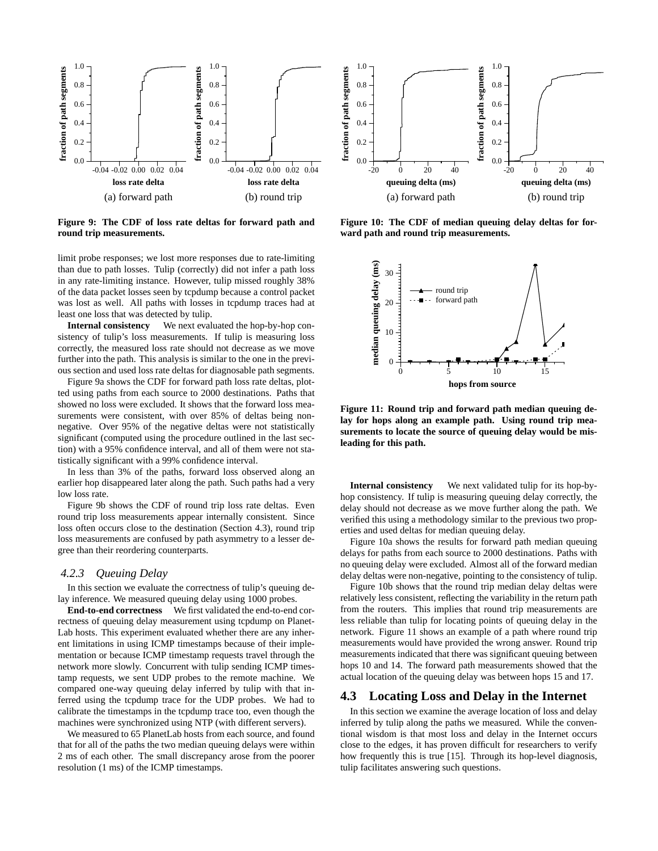

**Figure 9: The CDF of loss rate deltas for forward path and round trip measurements.**

limit probe responses; we lost more responses due to rate-limiting than due to path losses. Tulip (correctly) did not infer a path loss in any rate-limiting instance. However, tulip missed roughly 38% of the data packet losses seen by tcpdump because a control packet was lost as well. All paths with losses in tcpdump traces had at least one loss that was detected by tulip.

**Internal consistency** We next evaluated the hop-by-hop consistency of tulip's loss measurements. If tulip is measuring loss correctly, the measured loss rate should not decrease as we move further into the path. This analysis is similar to the one in the previous section and used loss rate deltas for diagnosable path segments.

Figure 9a shows the CDF for forward path loss rate deltas, plotted using paths from each source to 2000 destinations. Paths that showed no loss were excluded. It shows that the forward loss measurements were consistent, with over 85% of deltas being nonnegative. Over 95% of the negative deltas were not statistically significant (computed using the procedure outlined in the last section) with a 95% confidence interval, and all of them were not statistically significant with a 99% confidence interval.

In less than 3% of the paths, forward loss observed along an earlier hop disappeared later along the path. Such paths had a very low loss rate.

Figure 9b shows the CDF of round trip loss rate deltas. Even round trip loss measurements appear internally consistent. Since loss often occurs close to the destination (Section 4.3), round trip loss measurements are confused by path asymmetry to a lesser degree than their reordering counterparts.

### *4.2.3 Queuing Delay*

In this section we evaluate the correctness of tulip's queuing delay inference. We measured queuing delay using 1000 probes.

**End-to-end correctness** We first validated the end-to-end correctness of queuing delay measurement using tcpdump on Planet-Lab hosts. This experiment evaluated whether there are any inherent limitations in using ICMP timestamps because of their implementation or because ICMP timestamp requests travel through the network more slowly. Concurrent with tulip sending ICMP timestamp requests, we sent UDP probes to the remote machine. We compared one-way queuing delay inferred by tulip with that inferred using the tcpdump trace for the UDP probes. We had to calibrate the timestamps in the tcpdump trace too, even though the machines were synchronized using NTP (with different servers).

We measured to 65 PlanetLab hosts from each source, and found that for all of the paths the two median queuing delays were within 2 ms of each other. The small discrepancy arose from the poorer resolution (1 ms) of the ICMP timestamps.



**Figure 10: The CDF of median queuing delay deltas for forward path and round trip measurements.**



**Figure 11: Round trip and forward path median queuing delay for hops along an example path. Using round trip measurements to locate the source of queuing delay would be misleading for this path.**

**Internal consistency** We next validated tulip for its hop-byhop consistency. If tulip is measuring queuing delay correctly, the delay should not decrease as we move further along the path. We verified this using a methodology similar to the previous two properties and used deltas for median queuing delay.

Figure 10a shows the results for forward path median queuing delays for paths from each source to 2000 destinations. Paths with no queuing delay were excluded. Almost all of the forward median delay deltas were non-negative, pointing to the consistency of tulip.

Figure 10b shows that the round trip median delay deltas were relatively less consistent, reflecting the variability in the return path from the routers. This implies that round trip measurements are less reliable than tulip for locating points of queuing delay in the network. Figure 11 shows an example of a path where round trip measurements would have provided the wrong answer. Round trip measurements indicated that there was significant queuing between hops 10 and 14. The forward path measurements showed that the actual location of the queuing delay was between hops 15 and 17.

# **4.3 Locating Loss and Delay in the Internet**

In this section we examine the average location of loss and delay inferred by tulip along the paths we measured. While the conventional wisdom is that most loss and delay in the Internet occurs close to the edges, it has proven difficult for researchers to verify how frequently this is true [15]. Through its hop-level diagnosis, tulip facilitates answering such questions.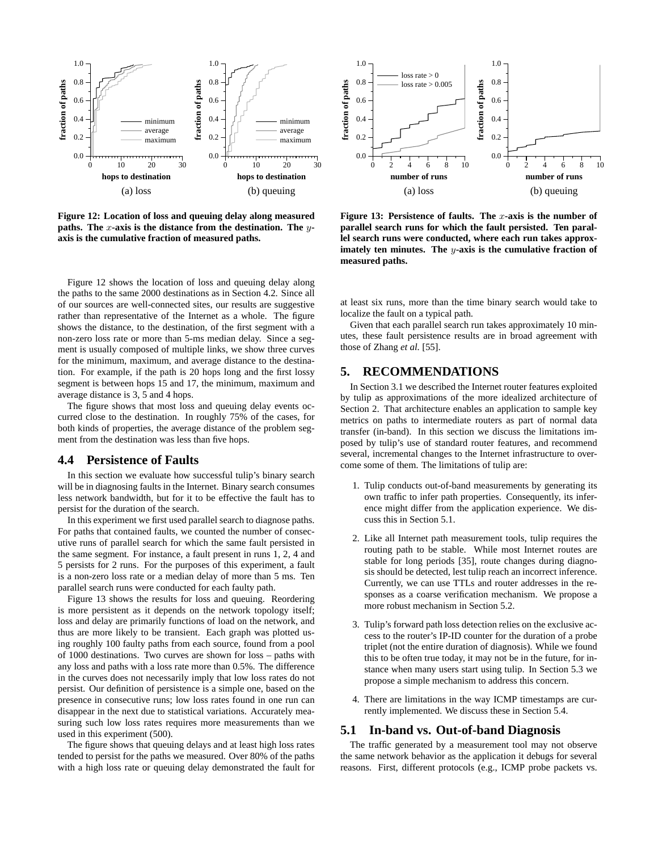

**Figure 12: Location of loss and queuing delay along measured paths. The** x**-axis is the distance from the destination. The** y**axis is the cumulative fraction of measured paths.**

Figure 12 shows the location of loss and queuing delay along the paths to the same 2000 destinations as in Section 4.2. Since all of our sources are well-connected sites, our results are suggestive rather than representative of the Internet as a whole. The figure shows the distance, to the destination, of the first segment with a non-zero loss rate or more than 5-ms median delay. Since a segment is usually composed of multiple links, we show three curves for the minimum, maximum, and average distance to the destination. For example, if the path is 20 hops long and the first lossy segment is between hops 15 and 17, the minimum, maximum and average distance is 3, 5 and 4 hops.

The figure shows that most loss and queuing delay events occurred close to the destination. In roughly 75% of the cases, for both kinds of properties, the average distance of the problem segment from the destination was less than five hops.

## **4.4 Persistence of Faults**

In this section we evaluate how successful tulip's binary search will be in diagnosing faults in the Internet. Binary search consumes less network bandwidth, but for it to be effective the fault has to persist for the duration of the search.

In this experiment we first used parallel search to diagnose paths. For paths that contained faults, we counted the number of consecutive runs of parallel search for which the same fault persisted in the same segment. For instance, a fault present in runs 1, 2, 4 and 5 persists for 2 runs. For the purposes of this experiment, a fault is a non-zero loss rate or a median delay of more than 5 ms. Ten parallel search runs were conducted for each faulty path.

Figure 13 shows the results for loss and queuing. Reordering is more persistent as it depends on the network topology itself; loss and delay are primarily functions of load on the network, and thus are more likely to be transient. Each graph was plotted using roughly 100 faulty paths from each source, found from a pool of 1000 destinations. Two curves are shown for loss – paths with any loss and paths with a loss rate more than 0.5%. The difference in the curves does not necessarily imply that low loss rates do not persist. Our definition of persistence is a simple one, based on the presence in consecutive runs; low loss rates found in one run can disappear in the next due to statistical variations. Accurately measuring such low loss rates requires more measurements than we used in this experiment (500).

The figure shows that queuing delays and at least high loss rates tended to persist for the paths we measured. Over 80% of the paths with a high loss rate or queuing delay demonstrated the fault for



**Figure 13: Persistence of faults. The** x**-axis is the number of parallel search runs for which the fault persisted. Ten parallel search runs were conducted, where each run takes approximately ten minutes. The** y**-axis is the cumulative fraction of measured paths.**

at least six runs, more than the time binary search would take to localize the fault on a typical path.

Given that each parallel search run takes approximately 10 minutes, these fault persistence results are in broad agreement with those of Zhang *et al.* [55].

# **5. RECOMMENDATIONS**

In Section 3.1 we described the Internet router features exploited by tulip as approximations of the more idealized architecture of Section 2. That architecture enables an application to sample key metrics on paths to intermediate routers as part of normal data transfer (in-band). In this section we discuss the limitations imposed by tulip's use of standard router features, and recommend several, incremental changes to the Internet infrastructure to overcome some of them. The limitations of tulip are:

- 1. Tulip conducts out-of-band measurements by generating its own traffic to infer path properties. Consequently, its inference might differ from the application experience. We discuss this in Section 5.1.
- 2. Like all Internet path measurement tools, tulip requires the routing path to be stable. While most Internet routes are stable for long periods [35], route changes during diagnosis should be detected, lest tulip reach an incorrect inference. Currently, we can use TTLs and router addresses in the responses as a coarse verification mechanism. We propose a more robust mechanism in Section 5.2.
- 3. Tulip's forward path loss detection relies on the exclusive access to the router's IP-ID counter for the duration of a probe triplet (not the entire duration of diagnosis). While we found this to be often true today, it may not be in the future, for instance when many users start using tulip. In Section 5.3 we propose a simple mechanism to address this concern.
- 4. There are limitations in the way ICMP timestamps are currently implemented. We discuss these in Section 5.4.

## **5.1 In-band vs. Out-of-band Diagnosis**

The traffic generated by a measurement tool may not observe the same network behavior as the application it debugs for several reasons. First, different protocols (e.g., ICMP probe packets vs.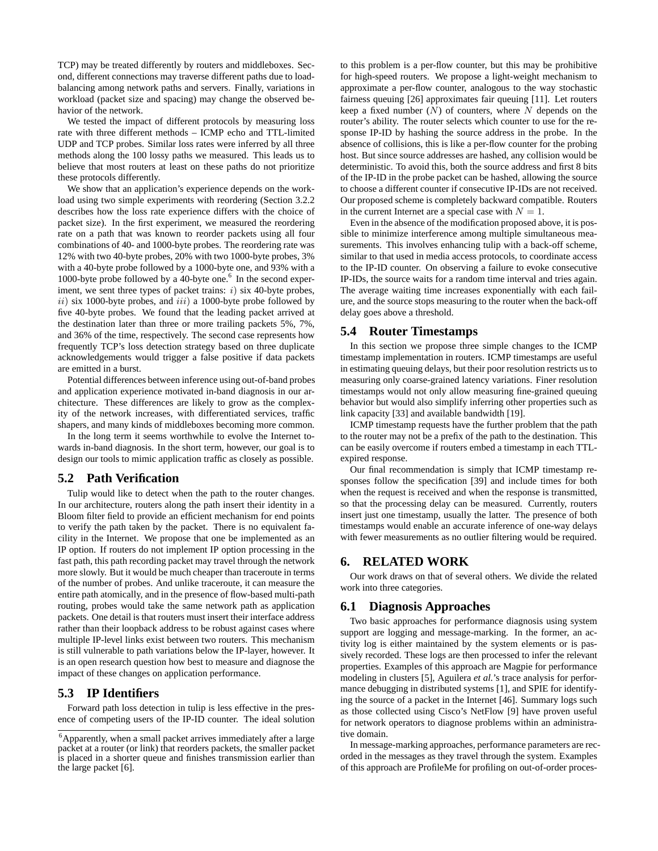TCP) may be treated differently by routers and middleboxes. Second, different connections may traverse different paths due to loadbalancing among network paths and servers. Finally, variations in workload (packet size and spacing) may change the observed behavior of the network.

We tested the impact of different protocols by measuring loss rate with three different methods – ICMP echo and TTL-limited UDP and TCP probes. Similar loss rates were inferred by all three methods along the 100 lossy paths we measured. This leads us to believe that most routers at least on these paths do not prioritize these protocols differently.

We show that an application's experience depends on the workload using two simple experiments with reordering (Section 3.2.2 describes how the loss rate experience differs with the choice of packet size). In the first experiment, we measured the reordering rate on a path that was known to reorder packets using all four combinations of 40- and 1000-byte probes. The reordering rate was 12% with two 40-byte probes, 20% with two 1000-byte probes, 3% with a 40-byte probe followed by a 1000-byte one, and 93% with a 1000-byte probe followed by a 40-byte one.<sup>6</sup> In the second experiment, we sent three types of packet trains:  $i$ ) six 40-byte probes,  $ii)$  six 1000-byte probes, and  $iii)$  a 1000-byte probe followed by five 40-byte probes. We found that the leading packet arrived at the destination later than three or more trailing packets 5%, 7%, and 36% of the time, respectively. The second case represents how frequently TCP's loss detection strategy based on three duplicate acknowledgements would trigger a false positive if data packets are emitted in a burst.

Potential differences between inference using out-of-band probes and application experience motivated in-band diagnosis in our architecture. These differences are likely to grow as the complexity of the network increases, with differentiated services, traffic shapers, and many kinds of middleboxes becoming more common.

In the long term it seems worthwhile to evolve the Internet towards in-band diagnosis. In the short term, however, our goal is to design our tools to mimic application traffic as closely as possible.

#### **5.2 Path Verification**

Tulip would like to detect when the path to the router changes. In our architecture, routers along the path insert their identity in a Bloom filter field to provide an efficient mechanism for end points to verify the path taken by the packet. There is no equivalent facility in the Internet. We propose that one be implemented as an IP option. If routers do not implement IP option processing in the fast path, this path recording packet may travel through the network more slowly. But it would be much cheaper than traceroute in terms of the number of probes. And unlike traceroute, it can measure the entire path atomically, and in the presence of flow-based multi-path routing, probes would take the same network path as application packets. One detail is that routers must insert their interface address rather than their loopback address to be robust against cases where multiple IP-level links exist between two routers. This mechanism is still vulnerable to path variations below the IP-layer, however. It is an open research question how best to measure and diagnose the impact of these changes on application performance.

### **5.3 IP Identifiers**

Forward path loss detection in tulip is less effective in the presence of competing users of the IP-ID counter. The ideal solution to this problem is a per-flow counter, but this may be prohibitive for high-speed routers. We propose a light-weight mechanism to approximate a per-flow counter, analogous to the way stochastic fairness queuing [26] approximates fair queuing [11]. Let routers keep a fixed number  $(N)$  of counters, where N depends on the router's ability. The router selects which counter to use for the response IP-ID by hashing the source address in the probe. In the absence of collisions, this is like a per-flow counter for the probing host. But since source addresses are hashed, any collision would be deterministic. To avoid this, both the source address and first 8 bits of the IP-ID in the probe packet can be hashed, allowing the source to choose a different counter if consecutive IP-IDs are not received. Our proposed scheme is completely backward compatible. Routers in the current Internet are a special case with  $N = 1$ .

Even in the absence of the modification proposed above, it is possible to minimize interference among multiple simultaneous measurements. This involves enhancing tulip with a back-off scheme, similar to that used in media access protocols, to coordinate access to the IP-ID counter. On observing a failure to evoke consecutive IP-IDs, the source waits for a random time interval and tries again. The average waiting time increases exponentially with each failure, and the source stops measuring to the router when the back-off delay goes above a threshold.

#### **5.4 Router Timestamps**

In this section we propose three simple changes to the ICMP timestamp implementation in routers. ICMP timestamps are useful in estimating queuing delays, but their poor resolution restricts us to measuring only coarse-grained latency variations. Finer resolution timestamps would not only allow measuring fine-grained queuing behavior but would also simplify inferring other properties such as link capacity [33] and available bandwidth [19].

ICMP timestamp requests have the further problem that the path to the router may not be a prefix of the path to the destination. This can be easily overcome if routers embed a timestamp in each TTLexpired response.

Our final recommendation is simply that ICMP timestamp responses follow the specification [39] and include times for both when the request is received and when the response is transmitted, so that the processing delay can be measured. Currently, routers insert just one timestamp, usually the latter. The presence of both timestamps would enable an accurate inference of one-way delays with fewer measurements as no outlier filtering would be required.

## **6. RELATED WORK**

Our work draws on that of several others. We divide the related work into three categories.

#### **6.1 Diagnosis Approaches**

Two basic approaches for performance diagnosis using system support are logging and message-marking. In the former, an activity log is either maintained by the system elements or is passively recorded. These logs are then processed to infer the relevant properties. Examples of this approach are Magpie for performance modeling in clusters [5], Aguilera *et al.*'s trace analysis for performance debugging in distributed systems [1], and SPIE for identifying the source of a packet in the Internet [46]. Summary logs such as those collected using Cisco's NetFlow [9] have proven useful for network operators to diagnose problems within an administrative domain.

In message-marking approaches, performance parameters are recorded in the messages as they travel through the system. Examples of this approach are ProfileMe for profiling on out-of-order proces-

 $6$ Apparently, when a small packet arrives immediately after a large packet at a router (or link) that reorders packets, the smaller packet is placed in a shorter queue and finishes transmission earlier than the large packet [6].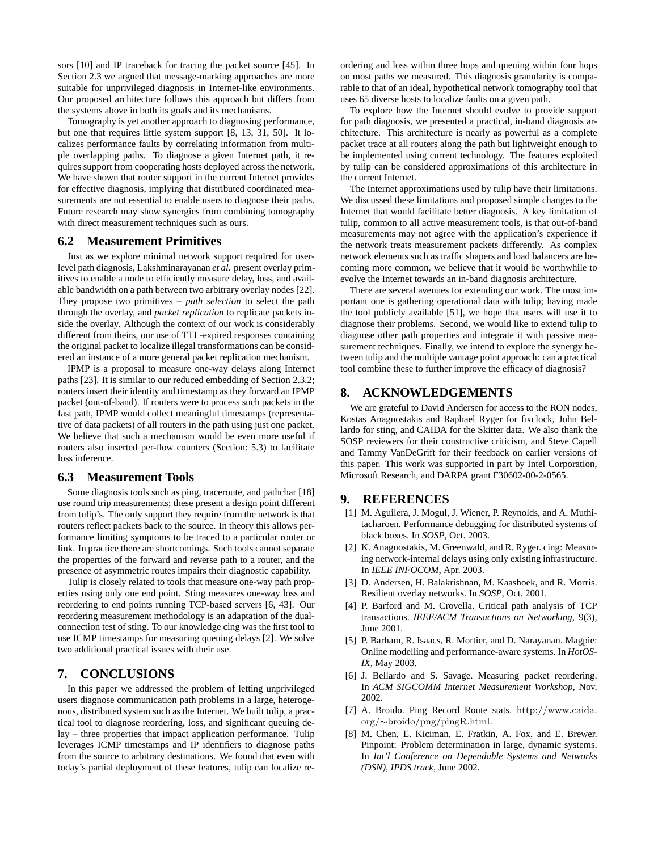sors [10] and IP traceback for tracing the packet source [45]. In Section 2.3 we argued that message-marking approaches are more suitable for unprivileged diagnosis in Internet-like environments. Our proposed architecture follows this approach but differs from the systems above in both its goals and its mechanisms.

Tomography is yet another approach to diagnosing performance, but one that requires little system support [8, 13, 31, 50]. It localizes performance faults by correlating information from multiple overlapping paths. To diagnose a given Internet path, it requires support from cooperating hosts deployed across the network. We have shown that router support in the current Internet provides for effective diagnosis, implying that distributed coordinated measurements are not essential to enable users to diagnose their paths. Future research may show synergies from combining tomography with direct measurement techniques such as ours.

### **6.2 Measurement Primitives**

Just as we explore minimal network support required for userlevel path diagnosis, Lakshminarayanan *et al.* present overlay primitives to enable a node to efficiently measure delay, loss, and available bandwidth on a path between two arbitrary overlay nodes [22]. They propose two primitives – *path selection* to select the path through the overlay, and *packet replication* to replicate packets inside the overlay. Although the context of our work is considerably different from theirs, our use of TTL-expired responses containing the original packet to localize illegal transformations can be considered an instance of a more general packet replication mechanism.

IPMP is a proposal to measure one-way delays along Internet paths [23]. It is similar to our reduced embedding of Section 2.3.2; routers insert their identity and timestamp as they forward an IPMP packet (out-of-band). If routers were to process such packets in the fast path, IPMP would collect meaningful timestamps (representative of data packets) of all routers in the path using just one packet. We believe that such a mechanism would be even more useful if routers also inserted per-flow counters (Section: 5.3) to facilitate loss inference.

#### **6.3 Measurement Tools**

Some diagnosis tools such as ping, traceroute, and pathchar [18] use round trip measurements; these present a design point different from tulip's. The only support they require from the network is that routers reflect packets back to the source. In theory this allows performance limiting symptoms to be traced to a particular router or link. In practice there are shortcomings. Such tools cannot separate the properties of the forward and reverse path to a router, and the presence of asymmetric routes impairs their diagnostic capability.

Tulip is closely related to tools that measure one-way path properties using only one end point. Sting measures one-way loss and reordering to end points running TCP-based servers [6, 43]. Our reordering measurement methodology is an adaptation of the dualconnection test of sting. To our knowledge cing was the first tool to use ICMP timestamps for measuring queuing delays [2]. We solve two additional practical issues with their use.

## **7. CONCLUSIONS**

In this paper we addressed the problem of letting unprivileged users diagnose communication path problems in a large, heterogenous, distributed system such as the Internet. We built tulip, a practical tool to diagnose reordering, loss, and significant queuing delay – three properties that impact application performance. Tulip leverages ICMP timestamps and IP identifiers to diagnose paths from the source to arbitrary destinations. We found that even with today's partial deployment of these features, tulip can localize reordering and loss within three hops and queuing within four hops on most paths we measured. This diagnosis granularity is comparable to that of an ideal, hypothetical network tomography tool that uses 65 diverse hosts to localize faults on a given path.

To explore how the Internet should evolve to provide support for path diagnosis, we presented a practical, in-band diagnosis architecture. This architecture is nearly as powerful as a complete packet trace at all routers along the path but lightweight enough to be implemented using current technology. The features exploited by tulip can be considered approximations of this architecture in the current Internet.

The Internet approximations used by tulip have their limitations. We discussed these limitations and proposed simple changes to the Internet that would facilitate better diagnosis. A key limitation of tulip, common to all active measurement tools, is that out-of-band measurements may not agree with the application's experience if the network treats measurement packets differently. As complex network elements such as traffic shapers and load balancers are becoming more common, we believe that it would be worthwhile to evolve the Internet towards an in-band diagnosis architecture.

There are several avenues for extending our work. The most important one is gathering operational data with tulip; having made the tool publicly available [51], we hope that users will use it to diagnose their problems. Second, we would like to extend tulip to diagnose other path properties and integrate it with passive measurement techniques. Finally, we intend to explore the synergy between tulip and the multiple vantage point approach: can a practical tool combine these to further improve the efficacy of diagnosis?

### **8. ACKNOWLEDGEMENTS**

We are grateful to David Andersen for access to the RON nodes, Kostas Anagnostakis and Raphael Ryger for fixclock, John Bellardo for sting, and CAIDA for the Skitter data. We also thank the SOSP reviewers for their constructive criticism, and Steve Capell and Tammy VanDeGrift for their feedback on earlier versions of this paper. This work was supported in part by Intel Corporation, Microsoft Research, and DARPA grant F30602-00-2-0565.

#### **9. REFERENCES**

- [1] M. Aguilera, J. Mogul, J. Wiener, P. Reynolds, and A. Muthitacharoen. Performance debugging for distributed systems of black boxes. In *SOSP*, Oct. 2003.
- [2] K. Anagnostakis, M. Greenwald, and R. Ryger. cing: Measuring network-internal delays using only existing infrastructure. In *IEEE INFOCOM*, Apr. 2003.
- [3] D. Andersen, H. Balakrishnan, M. Kaashoek, and R. Morris. Resilient overlay networks. In *SOSP*, Oct. 2001.
- [4] P. Barford and M. Crovella. Critical path analysis of TCP transactions. *IEEE/ACM Transactions on Networking*, 9(3), June 2001.
- [5] P. Barham, R. Isaacs, R. Mortier, and D. Narayanan. Magpie: Online modelling and performance-aware systems. In *HotOS-IX*, May 2003.
- [6] J. Bellardo and S. Savage. Measuring packet reordering. In *ACM SIGCOMM Internet Measurement Workshop*, Nov. 2002.
- [7] A. Broido. Ping Record Route stats. http://www.caida. org/∼broido/png/pingR.html.
- [8] M. Chen, E. Kiciman, E. Fratkin, A. Fox, and E. Brewer. Pinpoint: Problem determination in large, dynamic systems. In *Int'l Conference on Dependable Systems and Networks (DSN), IPDS track*, June 2002.